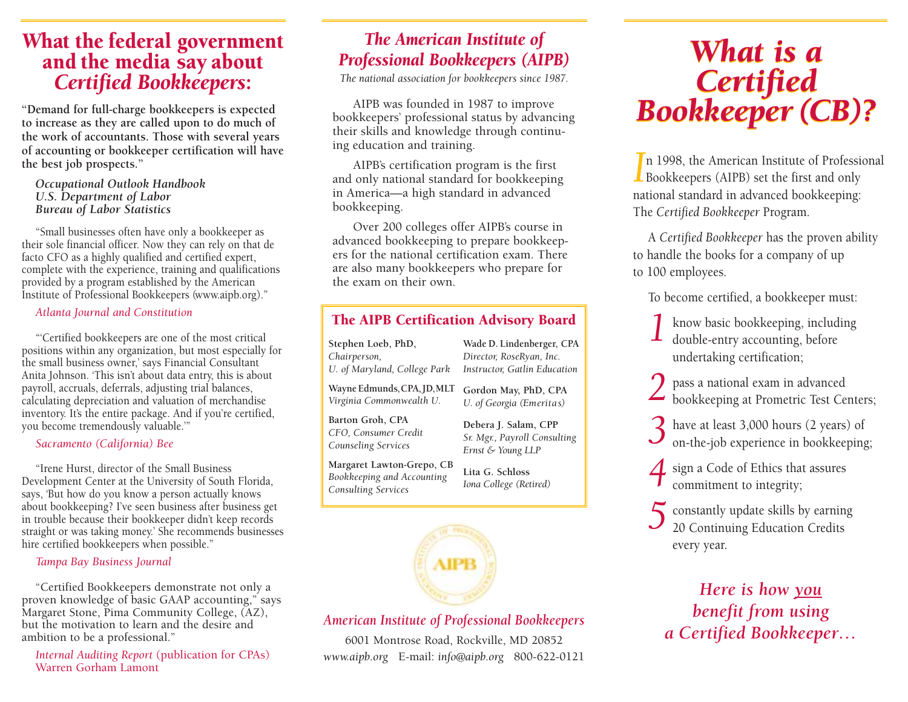# *<sup>W</sup>*hat the federal government and the media say about *Certified Bookkeepers*:

**"Demand for full-charge bookkeepers is expected to increase as they are called upon to do much of the work of accountants. Those with several years of accounting or bookkeeper certification will have the best job prospects."** 

*Occupational Outlook Handbook U.S. Department of Labor Bureau of Labor Statistics*

"Small businesses often have only a bookkeeper as their sole financial officer. Now they can rely on that de facto CFO as a highly qualified and certified expert, complete with the experience, training and qualifications provided by a program established by the American Institute of Professional Bookkeepers (www.aipb.org)."

#### *Atlanta Journal and Constitution*

"'Certified bookkeepers are one of the most critical positions within any organization, but most especially for the small business owner,' says Financial Consultant Anita Johnson. 'This isn't about data entry, this is about payroll, accruals, deferrals, adjusting trial balances, calculating depreciation and valuation of merchandise inventory. It's the entire package. And if you're certified, you become tremendously valuable.'"

#### *Sacramento (California) Bee*

"Irene Hurst, director of the Small Business Development Center at the University of South Florida, says, 'But how do you know a person actually knows about bookkeeping? I've seen business after business get in trouble because their bookkeeper didn't keep records straight or was taking money.' She recommends businesses hire certified bookkeepers when possible."

#### *Tampa Bay Business Journal*

"Certified Bookkeepers demonstrate not only a proven knowledge of basic GAAP accounting," says Margaret Stone, Pima Community College, (AZ), but the motivation to learn and the desire and ambition to be a professional."

*Internal Auditing Report* (publication for CPAs) Warren Gorham Lamont

#### *The American Institute of Professional Bookkeepers (AIPB)*

*The national association for bookkeepers since 1987.*

AIPB was founded in 1987 to improve bookkeepers' professional status by advancing their skills and knowledge through continuing education and training.

AIPB's certification program is the first and only national standard for bookkeeping in America—a high standard in advanced bookkeeping.

Over 200 colleges offer AIPB's course in advanced bookkeeping to prepare bookkeepers for the national certification exam. There are also many bookkeepers who prepare for the exam on their own.

#### The AIPB Certification Advisory Board

**Stephen Loeb, PhD,** *Chairperson, U. of Maryland, College Park Instructor, Gatlin Education*

Wayne Edmunds, CPA, JD, MLT *Virginia Commonwealth U.*

**Gordon May, PhD, CPA** *U. of Georgia (Emeritas)*

> **Debera J. Salam, CPP** *Sr. Mgr., Payroll Consulting Ernst & Young LLP* **Lita G. Schloss** *Iona College (Retired)*

**Wade D. Lindenberger, CPA** *Director, RoseRyan, Inc.*

**Barton Groh, CPA**  *CFO, Consumer Credit Counseling Services*

**Margaret Lawton-Grepo, CB** *Bookkeeping and Accounting Consulting Services*



#### *American Institute of Professional Bookkeepers*

6001 Montrose Road, Rockville, MD 20852 *www.aipb.org* E-mail: *info @aipb.org* 800-622-0121

## *What is a What is a Certified Bookkeeper (CB)? Certified Bookkeeper (CB)?*

**I**n 1998, the American Institute of Professional Bookkeepers (AIPB) set the first and only national standard in advanced bookkeeping: The *Certified Bookkeeper* Program.

<sup>A</sup> *Certified Bookkeeper* has the proven ability to handle the books for a company of up to 100 employees.

To become certified, a bookkeeper must:

*1* know basic bookkeeping, including double-entry accounting, before undertaking certification;

*2* pass a national exam in advanced bookkeeping at Prometric Test Centers;

*3* have at least 3,000 hours (2 years) of on-the-job experience in bookkeeping;

4 sign a Code of Ethics that assures commitment to integrity:

*5* constantly update skills by earning 20 Continuing Education Credits every year.

*Here is how you benefit from using a Certified Bookkeeper…*